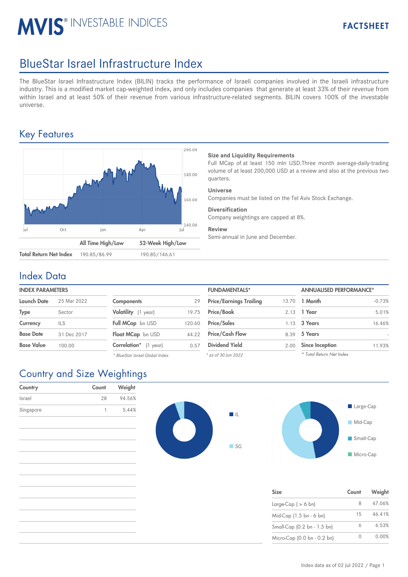# **MVIS® INVESTABLE INDICES**

## BlueStar Israel Infrastructure Index

The BlueStar Israel Infrastructure Index (BILIN) tracks the performance of Israeli companies involved in the Israeli infrastructure industry. This is a modified market cap-weighted index, and only includes companies that generate at least 33% of their revenue from within Israel and at least 50% of their revenue from various infrastructure-related segments. BILIN covers 100% of the investable universe.

## Key Features



#### **Size and Liquidity Requirements**

Full MCap of at least 150 mln USD.Three month average-daily-trading volume of at least 200,000 USD at a review and also at the previous two quarters.

#### **Universe**

Companies must be listed on the Tel Aviv Stock Exchange.

#### **Diversification**

Company weightings are capped at 8%.

#### **Review**

Semi-annual in June and December.

### Index Data

#### **INDEX PARAMETERS**

| <b>Launch Date</b> | 25 Mar 2022 | <b>Components</b>            | 29     | <b>Price/Earnings Trailing</b> |      | 13.70 <b>1 Month</b> |
|--------------------|-------------|------------------------------|--------|--------------------------------|------|----------------------|
| Type               | Sector      | Volatility (1 year)          | 19.75  | Price/Book                     |      | 2.13 1 Year          |
| Currency           | ILS         | Full MCap bn USD             | 120.60 | <b>Price/Sales</b>             |      | 1.13 3 Years         |
| <b>Base Date</b>   | 31 Dec 2017 | Float MCap bn USD            | 44.22  | <b>Price/Cash Flow</b>         | 8.39 | 5 Years              |
| <b>Base Value</b>  | 100.00      | <b>Correlation*</b> (1 year) | 0.57   | <b>Dividend Yield</b>          |      | 2.00 Since Inception |
|                    |             |                              |        |                                |      |                      |

*\* BlueStar Israel Global Index*

| <b>FUNDAMENTALS*</b>           |       | <b>ANNUALISED PERFORMANCE*</b> |          |  |
|--------------------------------|-------|--------------------------------|----------|--|
| <b>Price/Earnings Trailing</b> | 13.70 | 1 Month                        | $-0.73%$ |  |
| Price/Book                     | 2.13  | 1 Year                         | 5.01%    |  |
| <b>Price/Sales</b>             | 1.13  | 3 Years                        | 16.46%   |  |
| <b>Price/Cash Flow</b>         | 8.39  | 5 Years                        |          |  |
| <b>Dividend Yield</b>          | 2.00  | <b>Since Inception</b>         | 11.93%   |  |
| * as of 30 Jun 2022            |       | * Total Return Net Index       |          |  |

## Country and Size Weightings

| Country   | Count | Weight |
|-----------|-------|--------|
| Israel    | 28    | 94.56% |
| Singapore | 1     | 5.44%  |
|           |       |        |
|           |       |        |
|           |       |        |
|           |       |        |
|           |       |        |
|           |       |        |
|           |       |        |





| <b>Size</b>                 | Count | Weight |
|-----------------------------|-------|--------|
| Large-Cap $( > 6$ bn)       | 8     | 47.06% |
| Mid-Cap (1.5 bn - 6 bn)     | 15    | 46.41% |
| Small-Cap (0.2 bn - 1.5 bn) | 6     | 6.53%  |
| Micro-Cap (0.0 bn - 0.2 bn) |       | 0.00%  |